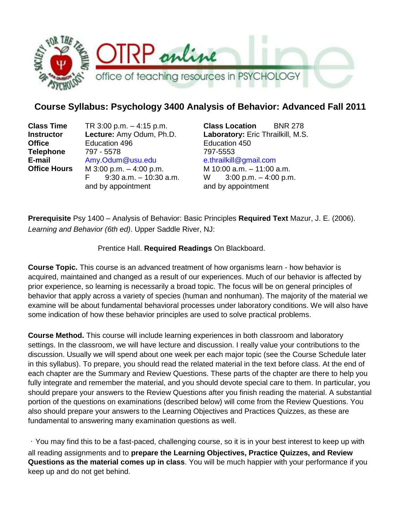

# **Course Syllabus: Psychology 3400 Analysis of Behavior: Advanced Fall 2011**

**Office** Education 496 Education 450 **Telephone** 797 - 5578 797-5553 **E-mail** Amy.Odum@usu.edu e.thrailkill@gmail.com **Office Hours** M 3:00 p.m. – 4:00 p.m. M 10:00 a.m. – 11:00 a.m. F  $9:30$  a.m.  $-10:30$  a.m. W  $3:00$  p.m.  $-4:00$  p.m. and by appointment and by appointment

**Class Time** TR 3:00 p.m. – 4:15 p.m. **Class Location** BNR 278 **Instructor Lecture:** Amy Odum, Ph.D. **Laboratory:** Eric Thrailkill, M.S.

**Prerequisite** Psy 1400 – Analysis of Behavior: Basic Principles **Required Text** Mazur, J. E. (2006). *Learning and Behavior (6th ed)*. Upper Saddle River, NJ:

### Prentice Hall. **Required Readings** On Blackboard.

**Course Topic.** This course is an advanced treatment of how organisms learn - how behavior is acquired, maintained and changed as a result of our experiences. Much of our behavior is affected by prior experience, so learning is necessarily a broad topic. The focus will be on general principles of behavior that apply across a variety of species (human and nonhuman). The majority of the material we examine will be about fundamental behavioral processes under laboratory conditions. We will also have some indication of how these behavior principles are used to solve practical problems.

**Course Method.** This course will include learning experiences in both classroom and laboratory settings. In the classroom, we will have lecture and discussion. I really value your contributions to the discussion. Usually we will spend about one week per each major topic (see the Course Schedule later in this syllabus). To prepare, you should read the related material in the text before class. At the end of each chapter are the Summary and Review Questions. These parts of the chapter are there to help you fully integrate and remember the material, and you should devote special care to them. In particular, you should prepare your answers to the Review Questions after you finish reading the material. A substantial portion of the questions on examinations (described below) will come from the Review Questions. You also should prepare your answers to the Learning Objectives and Practices Quizzes, as these are fundamental to answering many examination questions as well.

You may find this to be a fast-paced, challenging course, so it is in your best interest to keep up with all reading assignments and to **prepare the Learning Objectives, Practice Quizzes, and Review Questions as the material comes up in class**. You will be much happier with your performance if you keep up and do not get behind.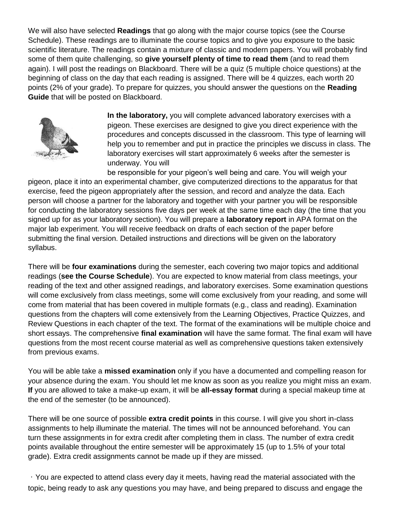We will also have selected **Readings** that go along with the major course topics (see the Course Schedule). These readings are to illuminate the course topics and to give you exposure to the basic scientific literature. The readings contain a mixture of classic and modern papers. You will probably find some of them quite challenging, so **give yourself plenty of time to read them** (and to read them again). I will post the readings on Blackboard. There will be a quiz (5 multiple choice questions) at the beginning of class on the day that each reading is assigned. There will be 4 quizzes, each worth 20 points (2% of your grade). To prepare for quizzes, you should answer the questions on the **Reading Guide** that will be posted on Blackboard.



**In the laboratory,** you will complete advanced laboratory exercises with a pigeon. These exercises are designed to give you direct experience with the procedures and concepts discussed in the classroom. This type of learning will help you to remember and put in practice the principles we discuss in class. The laboratory exercises will start approximately 6 weeks after the semester is underway. You will

be responsible for your pigeon's well being and care. You will weigh your pigeon, place it into an experimental chamber, give computerized directions to the apparatus for that exercise, feed the pigeon appropriately after the session, and record and analyze the data. Each person will choose a partner for the laboratory and together with your partner you will be responsible for conducting the laboratory sessions five days per week at the same time each day (the time that you signed up for as your laboratory section). You will prepare a **laboratory report** in APA format on the major lab experiment. You will receive feedback on drafts of each section of the paper before submitting the final version. Detailed instructions and directions will be given on the laboratory syllabus.

There will be **four examinations** during the semester, each covering two major topics and additional readings (**see the Course Schedule**). You are expected to know material from class meetings, your reading of the text and other assigned readings, and laboratory exercises. Some examination questions will come exclusively from class meetings, some will come exclusively from your reading, and some will come from material that has been covered in multiple formats (e.g., class and reading). Examination questions from the chapters will come extensively from the Learning Objectives, Practice Quizzes, and Review Questions in each chapter of the text. The format of the examinations will be multiple choice and short essays. The comprehensive **final examination** will have the same format. The final exam will have questions from the most recent course material as well as comprehensive questions taken extensively from previous exams.

You will be able take a **missed examination** only if you have a documented and compelling reason for your absence during the exam. You should let me know as soon as you realize you might miss an exam. **If** you are allowed to take a make-up exam, it will be **all-essay format** during a special makeup time at the end of the semester (to be announced).

There will be one source of possible **extra credit points** in this course. I will give you short in-class assignments to help illuminate the material. The times will not be announced beforehand. You can turn these assignments in for extra credit after completing them in class. The number of extra credit points available throughout the entire semester will be approximately 15 (up to 1.5% of your total grade). Extra credit assignments cannot be made up if they are missed.

You are expected to attend class every day it meets, having read the material associated with the topic, being ready to ask any questions you may have, and being prepared to discuss and engage the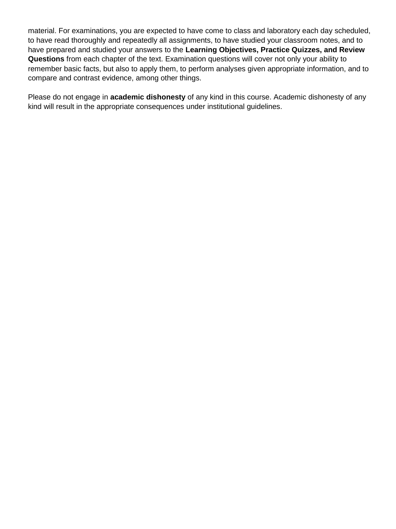material. For examinations, you are expected to have come to class and laboratory each day scheduled, to have read thoroughly and repeatedly all assignments, to have studied your classroom notes, and to have prepared and studied your answers to the **Learning Objectives, Practice Quizzes, and Review Questions** from each chapter of the text. Examination questions will cover not only your ability to remember basic facts, but also to apply them, to perform analyses given appropriate information, and to compare and contrast evidence, among other things.

Please do not engage in **academic dishonesty** of any kind in this course. Academic dishonesty of any kind will result in the appropriate consequences under institutional guidelines.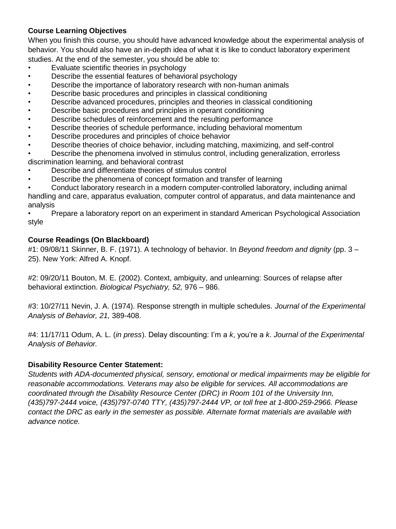### **Course Learning Objectives**

When you finish this course, you should have advanced knowledge about the experimental analysis of behavior. You should also have an in-depth idea of what it is like to conduct laboratory experiment studies. At the end of the semester, you should be able to:

- Evaluate scientific theories in psychology
- Describe the essential features of behavioral psychology
- Describe the importance of laboratory research with non-human animals
- Describe basic procedures and principles in classical conditioning
- Describe advanced procedures, principles and theories in classical conditioning
- Describe basic procedures and principles in operant conditioning
- Describe schedules of reinforcement and the resulting performance
- Describe theories of schedule performance, including behavioral momentum
- Describe procedures and principles of choice behavior
- Describe theories of choice behavior, including matching, maximizing, and self-control
- Describe the phenomena involved in stimulus control, including generalization, errorless discrimination learning, and behavioral contrast
- Describe and differentiate theories of stimulus control
- Describe the phenomena of concept formation and transfer of learning
- Conduct laboratory research in a modern computer-controlled laboratory, including animal handling and care, apparatus evaluation, computer control of apparatus, and data maintenance and analysis

• Prepare a laboratory report on an experiment in standard American Psychological Association style

## **Course Readings (On Blackboard)**

#1: 09/08/11 Skinner, B. F. (1971). A technology of behavior. In *Beyond freedom and dignity* (pp. 3 – 25). New York: Alfred A. Knopf.

#2: 09/20/11 Bouton, M. E. (2002). Context, ambiguity, and unlearning: Sources of relapse after behavioral extinction. *Biological Psychiatry, 52,* 976 – 986.

#3: 10/27/11 Nevin, J. A. (1974). Response strength in multiple schedules. *Journal of the Experimental Analysis of Behavior, 21,* 389-408.

#4: 11/17/11 Odum, A. L. (*in press*). Delay discounting: I'm a *k*, you're a *k*. *Journal of the Experimental Analysis of Behavior.* 

### **Disability Resource Center Statement:**

*Students with ADA-documented physical, sensory, emotional or medical impairments may be eligible for reasonable accommodations. Veterans may also be eligible for services. All accommodations are coordinated through the Disability Resource Center (DRC) in Room 101 of the University Inn, (435)797-2444 voice, (435)797-0740 TTY, (435)797-2444 VP, or toll free at 1-800-259-2966. Please contact the DRC as early in the semester as possible. Alternate format materials are available with advance notice.*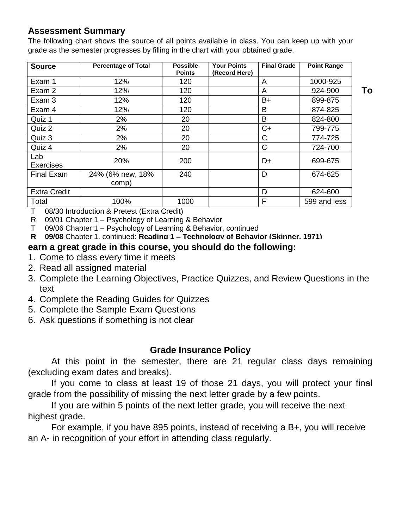# **Assessment Summary**

The following chart shows the source of all points available in class. You can keep up with your grade as the semester progresses by filling in the chart with your obtained grade.

| <b>Source</b>           | <b>Percentage of Total</b> | <b>Possible</b><br><b>Points</b> | <b>Your Points</b><br>(Record Here) | <b>Final Grade</b> | <b>Point Range</b> |
|-------------------------|----------------------------|----------------------------------|-------------------------------------|--------------------|--------------------|
| Exam 1                  | 12%                        | 120                              |                                     | A                  | 1000-925           |
| Exam 2                  | 12%                        | 120                              |                                     | A                  | 924-900            |
| Exam 3                  | 12%                        | 120                              |                                     | $B+$               | 899-875            |
| Exam 4                  | 12%                        | 120                              |                                     | B                  | 874-825            |
| Quiz 1                  | 2%                         | 20                               |                                     | B                  | 824-800            |
| Quiz 2                  | 2%                         | 20                               |                                     | $C+$               | 799-775            |
| Quiz 3                  | 2%                         | 20                               |                                     | C                  | 774-725            |
| Quiz 4                  | 2%                         | 20                               |                                     | C                  | 724-700            |
| Lab<br><b>Exercises</b> | 20%                        | 200                              |                                     | D+                 | 699-675            |
| <b>Final Exam</b>       | 24% (6% new, 18%<br>comp)  | 240                              |                                     | D                  | 674-625            |
| <b>Extra Credit</b>     |                            |                                  |                                     | D                  | 624-600            |
| Total                   | 100%                       | 1000                             |                                     | F                  | 599 and less       |

T 08/30 Introduction & Pretest (Extra Credit)

R 09/01 Chapter 1 – Psychology of Learning & Behavior

T 09/06 Chapter 1 – Psychology of Learning & Behavior, continued

**R 09/08** Chapter 1, continued; **Reading 1 – Technology of Behavior (Skinner, 1971)** 

## earn a great grade in this course, you should do the following:

- 1. Come to class every time it meets
- **T. Some to stace every time it meets**<br>2. Read all assigned material  $2.$  Read all assigned material  $2.$
- 3. Complete the Learning Objectives, Practice Quizzes, and Review Questions in the text r 09/29 Chapter 5 – Theories and Research on Classical Conditioning and Research on Classical Conditioning and Research on Classical Conditioning and Research on Classical Conditioning and Research on Classical Conditionin
- 4. Complete the Reading Guides for Quizzes
- mediate the Sample Exam Questions<br>5. Complete the Sample Exam Questions  $T$ . Complete the Cample Exam Questions
- 6. Ask questions if something is not clear

# **Grade Insurance Policy Property Schedules: Experimental Analyses and Applications: Experimental Analysis and Applications: Experimental Applications: Experimental Applications: Experimental Applications: Experimental Ap**

At this point in the semester, there are 21 regular class days remaining (excluding exam dates and breaks).  $\pi$  and  $\mu$  point in the schesich, there are

If you come to class at least 19 of those 21 days, you will protect your final grade from the possibility of missing the next letter grade by a few points.

If you are within 5 points of the next letter grade, you will receive the next highest grade. The 14 december 14  $\sim$ **R** 11 you are within 5 points of the next letter grade, you will receive t

For example, if you have 895 points, instead of receiving a B+, you will receive an A- in recognition of your effort in attending class regularly. **READING COMPRETE 14 (CHAPTER 14 ANDRE) READING 14 (CHAPTER 14 A** 

**To**